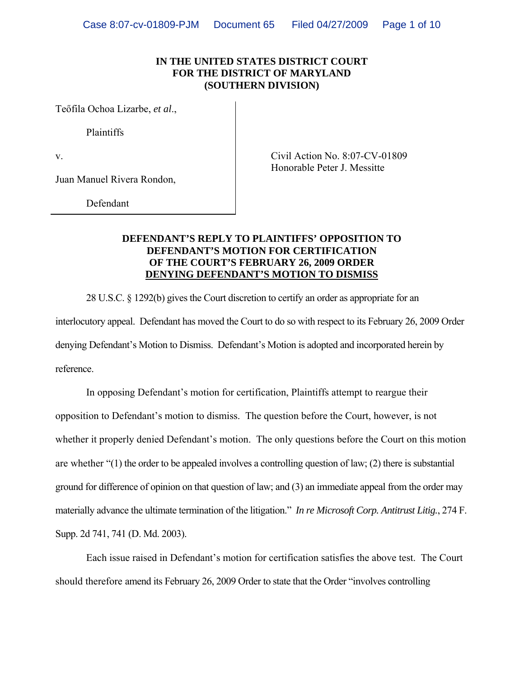### **IN THE UNITED STATES DISTRICT COURT FOR THE DISTRICT OF MARYLAND (SOUTHERN DIVISION)**

Teőfila Ochoa Lizarbe, *et al*.,

Plaintiffs

Juan Manuel Rivera Rondon,

v. Civil Action No. 8:07-CV-01809 Honorable Peter J. Messitte

Defendant

### **DEFENDANT'S REPLY TO PLAINTIFFS' OPPOSITION TO DEFENDANT'S MOTION FOR CERTIFICATION OF THE COURT'S FEBRUARY 26, 2009 ORDER DENYING DEFENDANT'S MOTION TO DISMISS**

28 U.S.C. § 1292(b) gives the Court discretion to certify an order as appropriate for an interlocutory appeal. Defendant has moved the Court to do so with respect to its February 26, 2009 Order denying Defendant's Motion to Dismiss. Defendant's Motion is adopted and incorporated herein by reference.

In opposing Defendant's motion for certification, Plaintiffs attempt to reargue their opposition to Defendant's motion to dismiss. The question before the Court, however, is not whether it properly denied Defendant's motion. The only questions before the Court on this motion are whether "(1) the order to be appealed involves a controlling question of law; (2) there is substantial ground for difference of opinion on that question of law; and (3) an immediate appeal from the order may materially advance the ultimate termination of the litigation." *In re Microsoft Corp. Antitrust Litig.*, 274 F. Supp. 2d 741, 741 (D. Md. 2003).

Each issue raised in Defendant's motion for certification satisfies the above test. The Court should therefore amend its February 26, 2009 Order to state that the Order "involves controlling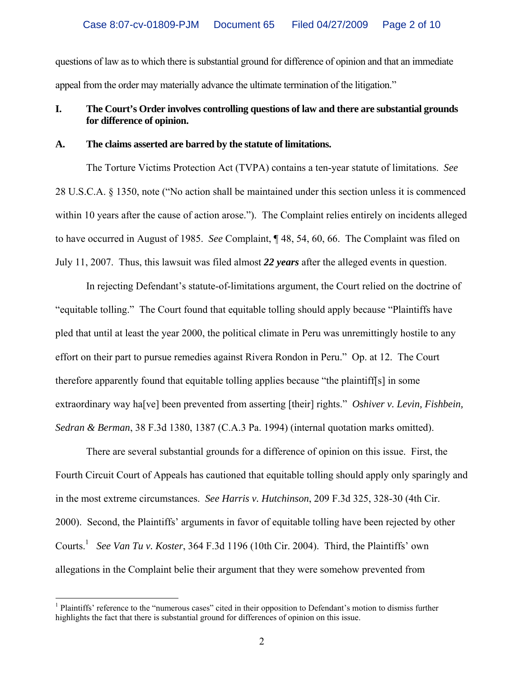questions of law as to which there is substantial ground for difference of opinion and that an immediate appeal from the order may materially advance the ultimate termination of the litigation."

## **I. The Court's Order involves controlling questions of law and there are substantial grounds for difference of opinion.**

### **A. The claims asserted are barred by the statute of limitations.**

The Torture Victims Protection Act (TVPA) contains a ten-year statute of limitations. *See* 28 U.S.C.A. § 1350, note ("No action shall be maintained under this section unless it is commenced within 10 years after the cause of action arose."). The Complaint relies entirely on incidents alleged to have occurred in August of 1985. *See* Complaint, ¶ 48, 54, 60, 66. The Complaint was filed on July 11, 2007. Thus, this lawsuit was filed almost *22 years* after the alleged events in question.

In rejecting Defendant's statute-of-limitations argument, the Court relied on the doctrine of "equitable tolling." The Court found that equitable tolling should apply because "Plaintiffs have pled that until at least the year 2000, the political climate in Peru was unremittingly hostile to any effort on their part to pursue remedies against Rivera Rondon in Peru." Op. at 12. The Court therefore apparently found that equitable tolling applies because "the plaintiff[s] in some extraordinary way ha[ve] been prevented from asserting [their] rights." *Oshiver v. Levin, Fishbein, Sedran & Berman*, 38 F.3d 1380, 1387 (C.A.3 Pa. 1994) (internal quotation marks omitted).

There are several substantial grounds for a difference of opinion on this issue. First, the Fourth Circuit Court of Appeals has cautioned that equitable tolling should apply only sparingly and in the most extreme circumstances. *See Harris v. Hutchinson*, 209 F.3d 325, 328-30 (4th Cir. 2000). Second, the Plaintiffs' arguments in favor of equitable tolling have been rejected by other Courts.<sup>[1](#page-1-0)</sup> See Van Tu v. Koster, 364 F.3d 1196 (10th Cir. 2004). Third, the Plaintiffs' own allegations in the Complaint belie their argument that they were somehow prevented from

 $\overline{a}$ 

<span id="page-1-0"></span><sup>&</sup>lt;sup>1</sup> Plaintiffs' reference to the "numerous cases" cited in their opposition to Defendant's motion to dismiss further highlights the fact that there is substantial ground for differences of opinion on this issue.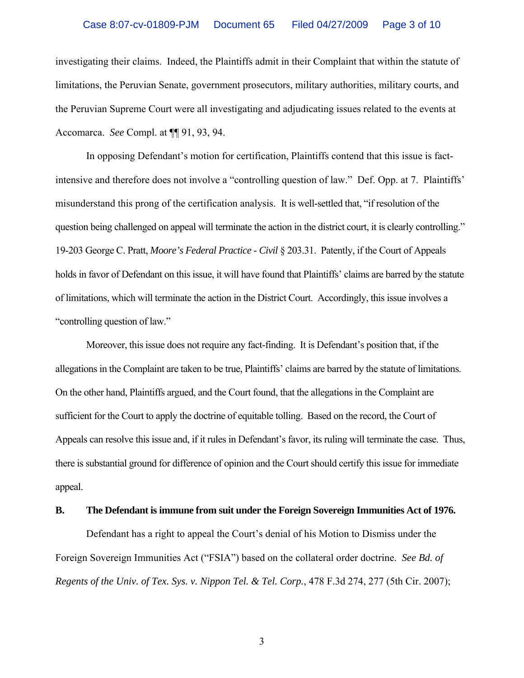### Case 8:07-cv-01809-PJM Document 65 Filed 04/27/2009 Page 3 of 10

investigating their claims. Indeed, the Plaintiffs admit in their Complaint that within the statute of limitations, the Peruvian Senate, government prosecutors, military authorities, military courts, and the Peruvian Supreme Court were all investigating and adjudicating issues related to the events at Accomarca. *See* Compl. at ¶¶ 91, 93, 94.

In opposing Defendant's motion for certification, Plaintiffs contend that this issue is factintensive and therefore does not involve a "controlling question of law." Def. Opp. at 7. Plaintiffs' misunderstand this prong of the certification analysis. It is well-settled that, "if resolution of the question being challenged on appeal will terminate the action in the district court, it is clearly controlling." 19-203 George C. Pratt, *Moore's Federal Practice - Civil* § 203.31. Patently, if the Court of Appeals holds in favor of Defendant on this issue, it will have found that Plaintiffs' claims are barred by the statute of limitations, which will terminate the action in the District Court. Accordingly, this issue involves a "controlling question of law."

Moreover, this issue does not require any fact-finding. It is Defendant's position that, if the allegations in the Complaint are taken to be true, Plaintiffs' claims are barred by the statute of limitations. On the other hand, Plaintiffs argued, and the Court found, that the allegations in the Complaint are sufficient for the Court to apply the doctrine of equitable tolling. Based on the record, the Court of Appeals can resolve this issue and, if it rules in Defendant's favor, its ruling will terminate the case. Thus, there is substantial ground for difference of opinion and the Court should certify this issue for immediate appeal.

### **B. The Defendant is immune from suit under the Foreign Sovereign Immunities Act of 1976.**

Defendant has a right to appeal the Court's denial of his Motion to Dismiss under the Foreign Sovereign Immunities Act ("FSIA") based on the collateral order doctrine. *See Bd. of Regents of the Univ. of Tex. Sys. v. Nippon Tel. & Tel. Corp.*, 478 F.3d 274, 277 (5th Cir. 2007);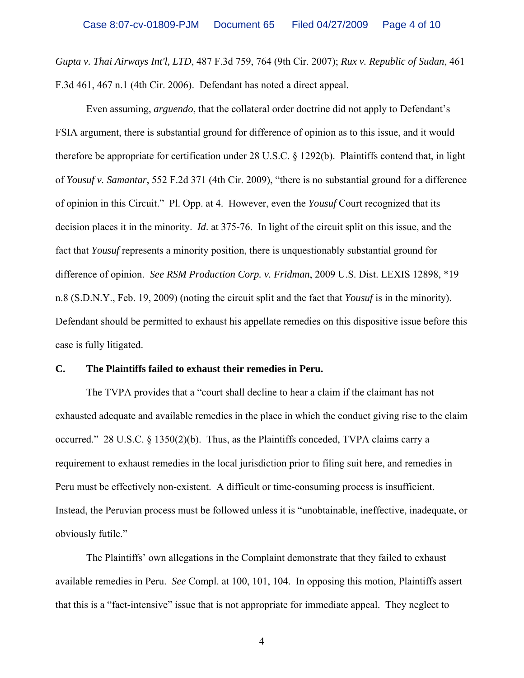*Gupta v. Thai Airways Int'l, LTD*, 487 F.3d 759, 764 (9th Cir. 2007); *Rux v. Republic of Sudan*, 461 F.3d 461, 467 n.1 (4th Cir. 2006). Defendant has noted a direct appeal.

 Even assuming, *arguendo*, that the collateral order doctrine did not apply to Defendant's FSIA argument, there is substantial ground for difference of opinion as to this issue, and it would therefore be appropriate for certification under 28 U.S.C. § 1292(b). Plaintiffs contend that, in light of *Yousuf v. Samantar*, 552 F.2d 371 (4th Cir. 2009), "there is no substantial ground for a difference of opinion in this Circuit." Pl. Opp. at 4. However, even the *Yousuf* Court recognized that its decision places it in the minority. *Id*. at 375-76. In light of the circuit split on this issue, and the fact that *Yousuf* represents a minority position, there is unquestionably substantial ground for difference of opinion. *See RSM Production Corp. v. Fridman*, 2009 U.S. Dist. LEXIS 12898, \*19 n.8 (S.D.N.Y., Feb. 19, 2009) (noting the circuit split and the fact that *Yousuf* is in the minority). Defendant should be permitted to exhaust his appellate remedies on this dispositive issue before this case is fully litigated.

### **C. The Plaintiffs failed to exhaust their remedies in Peru.**

The TVPA provides that a "court shall decline to hear a claim if the claimant has not exhausted adequate and available remedies in the place in which the conduct giving rise to the claim occurred." 28 U.S.C. § 1350(2)(b). Thus, as the Plaintiffs conceded, TVPA claims carry a requirement to exhaust remedies in the local jurisdiction prior to filing suit here, and remedies in Peru must be effectively non-existent. A difficult or time-consuming process is insufficient. Instead, the Peruvian process must be followed unless it is "unobtainable, ineffective, inadequate, or obviously futile."

The Plaintiffs' own allegations in the Complaint demonstrate that they failed to exhaust available remedies in Peru. *See* Compl. at 100, 101, 104. In opposing this motion, Plaintiffs assert that this is a "fact-intensive" issue that is not appropriate for immediate appeal. They neglect to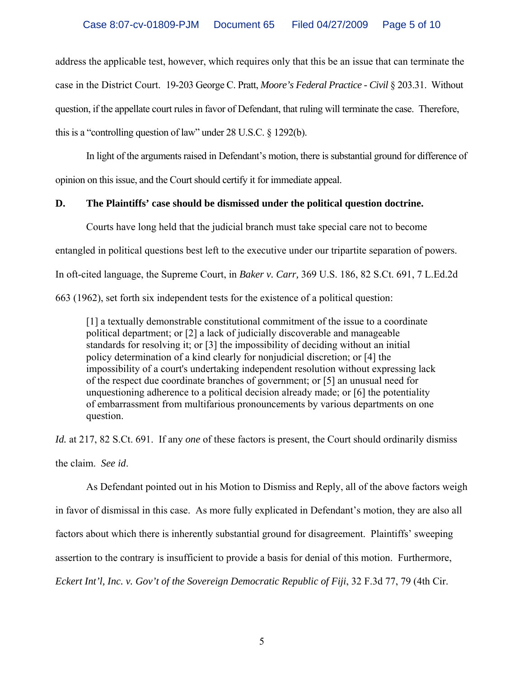address the applicable test, however, which requires only that this be an issue that can terminate the case in the District Court. 19-203 George C. Pratt, *Moore's Federal Practice - Civil* § 203.31. Without question, if the appellate court rules in favor of Defendant, that ruling will terminate the case. Therefore, this is a "controlling question of law" under 28 U.S.C. § 1292(b).

In light of the arguments raised in Defendant's motion, there is substantial ground for difference of opinion on this issue, and the Court should certify it for immediate appeal.

### **D. The Plaintiffs' case should be dismissed under the political question doctrine.**

Courts have long held that the judicial branch must take special care not to become entangled in political questions best left to the executive under our tripartite separation of powers. In oft-cited language, the Supreme Court, in *Baker v. Carr,* 369 U.S. 186, 82 S.Ct. 691, 7 L.Ed.2d 663 (1962), set forth six independent tests for the existence of a political question:

[1] a textually demonstrable constitutional commitment of the issue to a coordinate political department; or [2] a lack of judicially discoverable and manageable standards for resolving it; or [3] the impossibility of deciding without an initial policy determination of a kind clearly for nonjudicial discretion; or [4] the impossibility of a court's undertaking independent resolution without expressing lack of the respect due coordinate branches of government; or [5] an unusual need for unquestioning adherence to a political decision already made; or [6] the potentiality of embarrassment from multifarious pronouncements by various departments on one question.

*Id.* at 217, 82 S.Ct. 691. If any *one* of these factors is present, the Court should ordinarily dismiss the claim. *See id*.

As Defendant pointed out in his Motion to Dismiss and Reply, all of the above factors weigh in favor of dismissal in this case. As more fully explicated in Defendant's motion, they are also all factors about which there is inherently substantial ground for disagreement. Plaintiffs' sweeping assertion to the contrary is insufficient to provide a basis for denial of this motion. Furthermore, *Eckert Int'l, Inc. v. Gov't of the Sovereign Democratic Republic of Fiji*, 32 F.3d 77, 79 (4th Cir.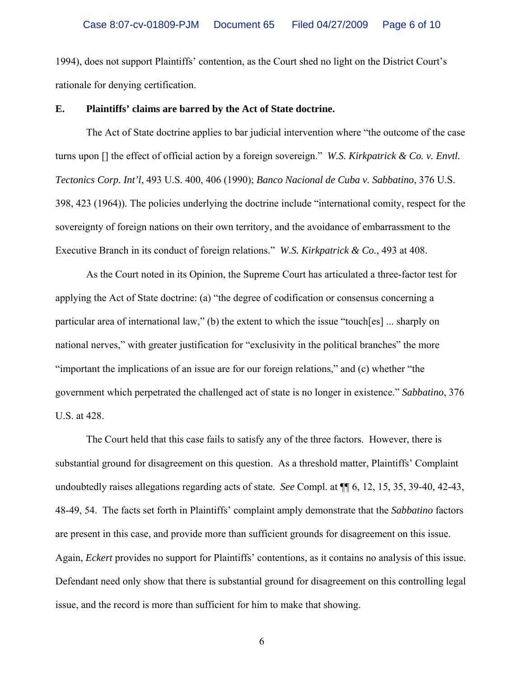1994), does not support Plaintiffs' contention, as the Court shed no light on the District Court's rationale for denying certification.

#### **E. Plaintiffs' claims are barred by the Act of State doctrine.**

The Act of State doctrine applies to bar judicial intervention where "the outcome of the case turns upon [] the effect of official action by a foreign sovereign." *W.S. Kirkpatrick & Co. v. Envtl. Tectonics Corp. Int'l*, 493 U.S. 400, 406 (1990); *Banco Nacional de Cuba v. Sabbatino*, 376 U.S. 398, 423 (1964)). The policies underlying the doctrine include "international comity, respect for the sovereignty of foreign nations on their own territory, and the avoidance of embarrassment to the Executive Branch in its conduct of foreign relations." *W.S. Kirkpatrick & Co.*, 493 at 408.

As the Court noted in its Opinion, the Supreme Court has articulated a three-factor test for applying the Act of State doctrine: (a) "the degree of codification or consensus concerning a particular area of international law," (b) the extent to which the issue "touch[es] ... sharply on national nerves," with greater justification for "exclusivity in the political branches" the more "important the implications of an issue are for our foreign relations," and (c) whether "the government which perpetrated the challenged act of state is no longer in existence." *Sabbatino*, 376 U.S. at 428.

The Court held that this case fails to satisfy any of the three factors. However, there is substantial ground for disagreement on this question. As a threshold matter, Plaintiffs' Complaint undoubtedly raises allegations regarding acts of state. *See* Compl. at ¶¶ 6, 12, 15, 35, 39-40, 42-43, 48-49, 54. The facts set forth in Plaintiffs' complaint amply demonstrate that the *Sabbatino* factors are present in this case, and provide more than sufficient grounds for disagreement on this issue. Again, *Eckert* provides no support for Plaintiffs' contentions, as it contains no analysis of this issue. Defendant need only show that there is substantial ground for disagreement on this controlling legal issue, and the record is more than sufficient for him to make that showing.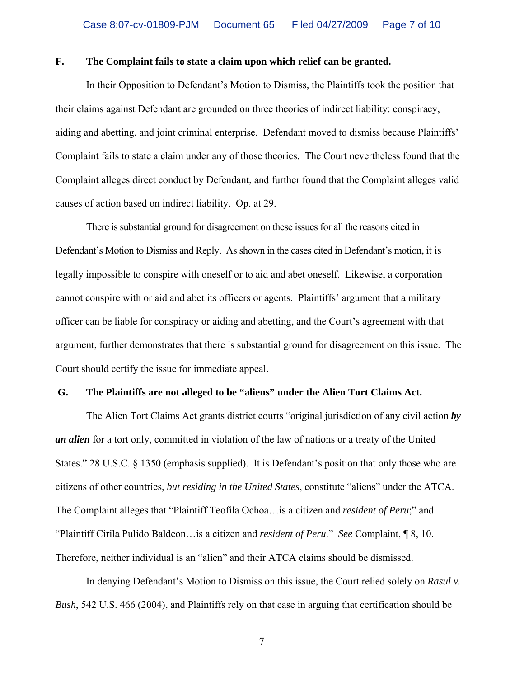#### **F. The Complaint fails to state a claim upon which relief can be granted.**

In their Opposition to Defendant's Motion to Dismiss, the Plaintiffs took the position that their claims against Defendant are grounded on three theories of indirect liability: conspiracy, aiding and abetting, and joint criminal enterprise. Defendant moved to dismiss because Plaintiffs' Complaint fails to state a claim under any of those theories. The Court nevertheless found that the Complaint alleges direct conduct by Defendant, and further found that the Complaint alleges valid causes of action based on indirect liability. Op. at 29.

There is substantial ground for disagreement on these issues for all the reasons cited in Defendant's Motion to Dismiss and Reply. As shown in the cases cited in Defendant's motion, it is legally impossible to conspire with oneself or to aid and abet oneself. Likewise, a corporation cannot conspire with or aid and abet its officers or agents. Plaintiffs' argument that a military officer can be liable for conspiracy or aiding and abetting, and the Court's agreement with that argument, further demonstrates that there is substantial ground for disagreement on this issue. The Court should certify the issue for immediate appeal.

### **G. The Plaintiffs are not alleged to be "aliens" under the Alien Tort Claims Act.**

The Alien Tort Claims Act grants district courts "original jurisdiction of any civil action *by an alien* for a tort only, committed in violation of the law of nations or a treaty of the United States." 28 U.S.C. § 1350 (emphasis supplied). It is Defendant's position that only those who are citizens of other countries, *but residing in the United States*, constitute "aliens" under the ATCA. The Complaint alleges that "Plaintiff Teofila Ochoa…is a citizen and *resident of Peru*;" and "Plaintiff Cirila Pulido Baldeon…is a citizen and *resident of Peru*." *See* Complaint, ¶ 8, 10. Therefore, neither individual is an "alien" and their ATCA claims should be dismissed.

In denying Defendant's Motion to Dismiss on this issue, the Court relied solely on *Rasul v. Bush*, 542 U.S. 466 (2004), and Plaintiffs rely on that case in arguing that certification should be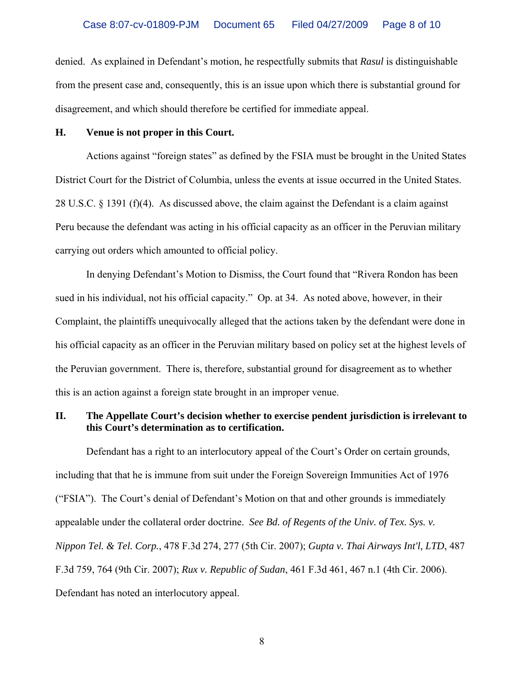denied. As explained in Defendant's motion, he respectfully submits that *Rasul* is distinguishable from the present case and, consequently, this is an issue upon which there is substantial ground for disagreement, and which should therefore be certified for immediate appeal.

### **H. Venue is not proper in this Court.**

Actions against "foreign states" as defined by the FSIA must be brought in the United States District Court for the District of Columbia, unless the events at issue occurred in the United States. 28 U.S.C.  $\S$  1391 (f)(4). As discussed above, the claim against the Defendant is a claim against Peru because the defendant was acting in his official capacity as an officer in the Peruvian military carrying out orders which amounted to official policy.

In denying Defendant's Motion to Dismiss, the Court found that "Rivera Rondon has been sued in his individual, not his official capacity." Op. at 34. As noted above, however, in their Complaint, the plaintiffs unequivocally alleged that the actions taken by the defendant were done in his official capacity as an officer in the Peruvian military based on policy set at the highest levels of the Peruvian government. There is, therefore, substantial ground for disagreement as to whether this is an action against a foreign state brought in an improper venue.

## **II. The Appellate Court's decision whether to exercise pendent jurisdiction is irrelevant to this Court's determination as to certification.**

Defendant has a right to an interlocutory appeal of the Court's Order on certain grounds, including that that he is immune from suit under the Foreign Sovereign Immunities Act of 1976 ("FSIA"). The Court's denial of Defendant's Motion on that and other grounds is immediately appealable under the collateral order doctrine. *See Bd. of Regents of the Univ. of Tex. Sys. v. Nippon Tel. & Tel. Corp.*, 478 F.3d 274, 277 (5th Cir. 2007); *Gupta v. Thai Airways Int'l, LTD*, 487 F.3d 759, 764 (9th Cir. 2007); *Rux v. Republic of Sudan*, 461 F.3d 461, 467 n.1 (4th Cir. 2006). Defendant has noted an interlocutory appeal.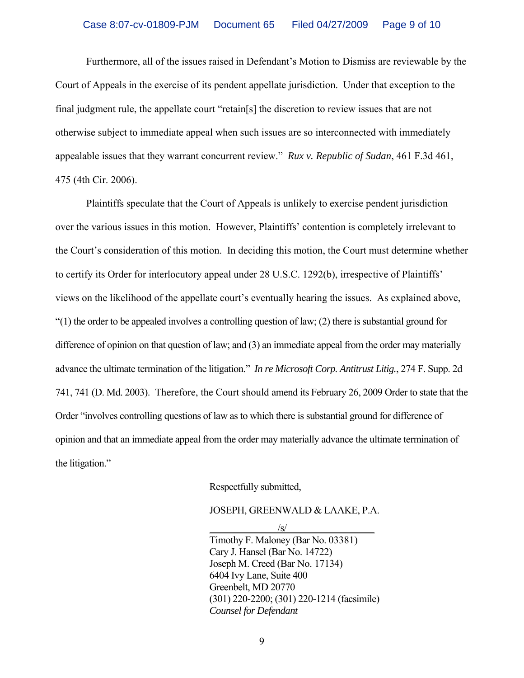Furthermore, all of the issues raised in Defendant's Motion to Dismiss are reviewable by the Court of Appeals in the exercise of its pendent appellate jurisdiction. Under that exception to the final judgment rule, the appellate court "retain[s] the discretion to review issues that are not otherwise subject to immediate appeal when such issues are so interconnected with immediately appealable issues that they warrant concurrent review." *Rux v. Republic of Sudan*, 461 F.3d 461, 475 (4th Cir. 2006).

Plaintiffs speculate that the Court of Appeals is unlikely to exercise pendent jurisdiction over the various issues in this motion. However, Plaintiffs' contention is completely irrelevant to the Court's consideration of this motion. In deciding this motion, the Court must determine whether to certify its Order for interlocutory appeal under 28 U.S.C. 1292(b), irrespective of Plaintiffs' views on the likelihood of the appellate court's eventually hearing the issues. As explained above,  $(1)$  the order to be appealed involves a controlling question of law; (2) there is substantial ground for difference of opinion on that question of law; and (3) an immediate appeal from the order may materially advance the ultimate termination of the litigation." *In re Microsoft Corp. Antitrust Litig.*, 274 F. Supp. 2d 741, 741 (D. Md. 2003). Therefore, the Court should amend its February 26, 2009 Order to state that the Order "involves controlling questions of law as to which there is substantial ground for difference of opinion and that an immediate appeal from the order may materially advance the ultimate termination of the litigation."

Respectfully submitted,

JOSEPH, GREENWALD & LAAKE, P.A.

 $\frac{|S|}{|S|}$  Timothy F. Maloney (Bar No. 03381) Cary J. Hansel (Bar No. 14722) Joseph M. Creed (Bar No. 17134) 6404 Ivy Lane, Suite 400 Greenbelt, MD 20770 (301) 220-2200; (301) 220-1214 (facsimile) *Counsel for Defendant*